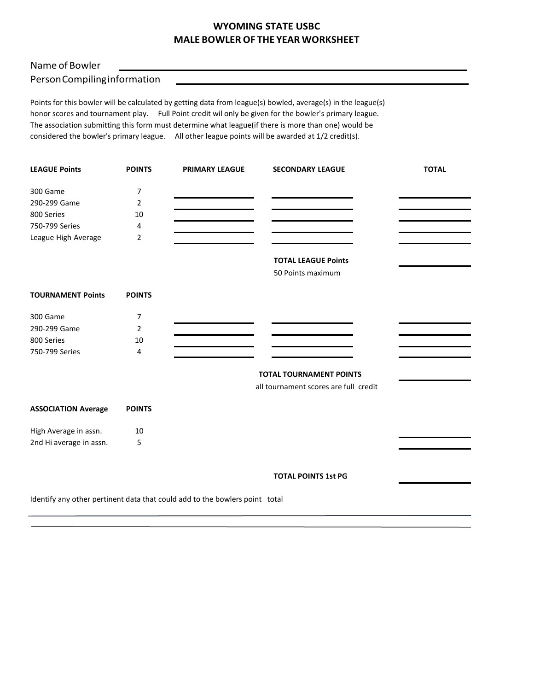## **WYOMING STATE USBC MALE BOWLEROF THE YEAR WORKSHEET**

## Name of Bowler

PersonCompilinginformation

Points for this bowler will be calculated by getting data from league(s) bowled, average(s) in the league(s) honor scores and tournament play. Full Point credit wil only be given for the bowler's primary league. The association submitting this form must determine what league(if there is more than one) would be considered the bowler's primary league. All other league points will be awarded at 1/2 credit(s).

| <b>LEAGUE Points</b>       | <b>POINTS</b>  | <b>PRIMARY LEAGUE</b>                                                       | <b>SECONDARY LEAGUE</b>               | <b>TOTAL</b> |
|----------------------------|----------------|-----------------------------------------------------------------------------|---------------------------------------|--------------|
| 300 Game                   | $\overline{7}$ |                                                                             |                                       |              |
| 290-299 Game               | $\overline{2}$ |                                                                             |                                       |              |
| 800 Series                 | 10             |                                                                             |                                       |              |
| 750-799 Series             | 4              |                                                                             |                                       |              |
| League High Average        | 2              |                                                                             |                                       |              |
|                            |                |                                                                             | <b>TOTAL LEAGUE Points</b>            |              |
|                            |                |                                                                             | 50 Points maximum                     |              |
| <b>TOURNAMENT Points</b>   | <b>POINTS</b>  |                                                                             |                                       |              |
| 300 Game                   | 7              |                                                                             |                                       |              |
| 290-299 Game               | $\overline{2}$ |                                                                             |                                       |              |
| 800 Series                 | 10             |                                                                             |                                       |              |
| 750-799 Series             | 4              |                                                                             |                                       |              |
|                            |                |                                                                             | <b>TOTAL TOURNAMENT POINTS</b>        |              |
|                            |                |                                                                             | all tournament scores are full credit |              |
| <b>ASSOCIATION Average</b> | <b>POINTS</b>  |                                                                             |                                       |              |
| High Average in assn.      | 10             |                                                                             |                                       |              |
| 2nd Hi average in assn.    | 5              |                                                                             |                                       |              |
|                            |                |                                                                             | <b>TOTAL POINTS 1st PG</b>            |              |
|                            |                | Identify any other pertinent data that could add to the bowlers point total |                                       |              |